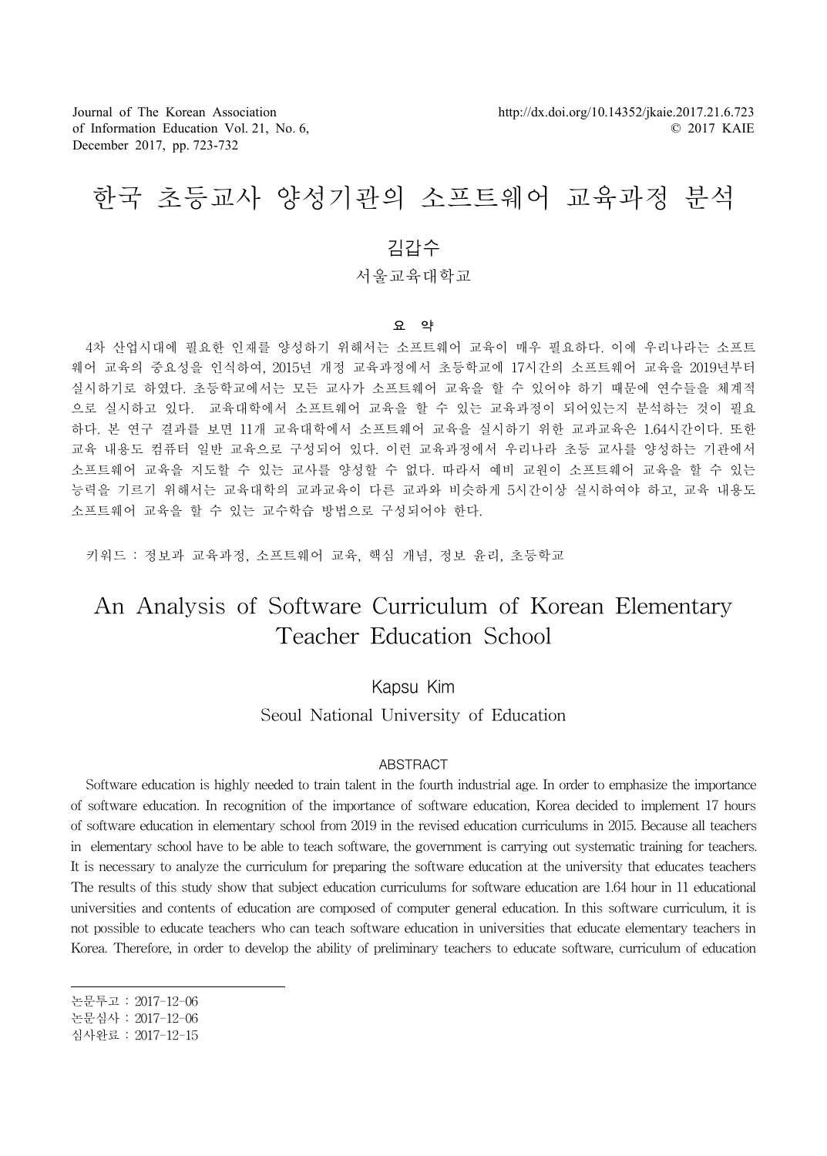Journal of The Korean Association of Information Education Vol. 21, No. 6, December 2017, pp. 723-732

# 한국 초등교사 양성기관의 소프트웨어 교육과정 분석

## 김갑수

## 서울교육대학교

#### 요 약

4차 산업시대에 필요한 인재를 양성하기 위해서는 소프트웨어 교육이 매우 필요하다. 이에 우리나라는 소프트 웨어 교육의 중요성을 인식하여, 2015년 개정 교육과정에서 초등학교에 17시간의 소프트웨어 교육을 2019년부터 실시하기로 하였다. 초등학교에서는 모든 교사가 소프트웨어 교육을 할 수 있어야 하기 때문에 연수들을 체계적 으로 실시하고 있다. 교육대학에서 소프트웨어 교육을 할 수 있는 교육과정이 되어있는지 분석하는 것이 필요 하다. 본 연구 결과를 보면 11개 교육대학에서 소프트웨어 교육을 실시하기 위한 교과교육은 1.64시간이다. 또한 교육 내용도 컴퓨터 일반 교육으로 구성되어 있다. 이런 교육과정에서 우리나라 초등 교사를 양성하는 기관에서 소프트웨어 교육을 지도할 수 있는 교사를 양성할 수 없다. 따라서 예비 교원이 소프트웨어 교육을 할 수 있는 능력을 기르기 위해서는 교육대학의 교과교육이 다른 교과와 비슷하게 5시간이상 실시하여야 하고, 교육 내용도 소프트웨어 교육을 할 수 있는 교수학습 방법으로 구성되어야 한다.

키워드 : 정보과 교육과정, 소프트웨어 교육, 핵심 개념, 정보 윤리, 초등학교

## An Analysis of Software Curriculum of Korean Elementary Teacher Education School

## Kapsu Kim

Seoul National University of Education

#### ABSTRACT

Software education is highly needed to train talent in the fourth industrial age. In order to emphasize the importance of software education. In recognition of the importance of software education, Korea decided to implement 17 hours of software education in elementary school from 2019 in the revised education curriculums in 2015. Because all teachers in elementary school have to be able to teach software, the government is carrying out systematic training for teachers. It is necessary to analyze the curriculum for preparing the software education at the university that educates teachers The results of this study show that subject education curriculums for software education are 1.64 hour in 11 educational universities and contents of education are composed of computer general education. In this software curriculum, it is not possible to educate teachers who can teach software education in universities that educate elementary teachers in Korea. Therefore, in order to develop the ability of preliminary teachers to educate software, curriculum of education

논문심사 : 2017-12-06

논문투고 : 2017-12-06

심사완료 : 2017-12-15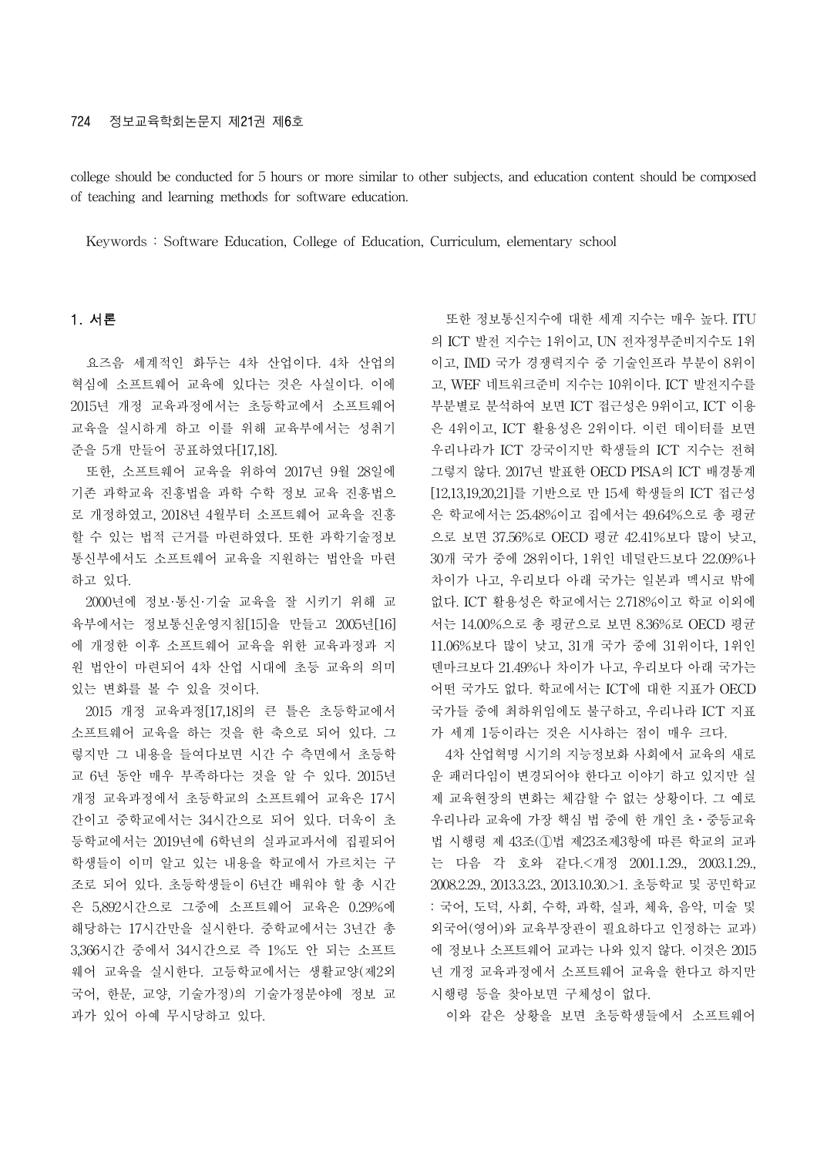#### 724 정보교육학회논문지 제21권 제6호

college should be conducted for 5 hours or more similar to other subjects, and education content should be composed of teaching and learning methods for software education.

Keywords : Software Education, College of Education, Curriculum, elementary school

### 1. 서론

요즈음 세계적인 화두는 4차 산업이다. 4차 산업의 혁심에 소프트웨어 교육에 있다는 것은 사실이다. 이에 2015년 개정 교육과정에서는 초등학교에서 소프트웨어 교육을 실시하게 하고 이를 위해 교육부에서는 성취기 준을 5개 만들어 공표하였다[17,18].

또한, 소프트웨어 교육을 위하여 2017년 9월 28일에 기존 과학교육 진흥법을 과학 수학 정보 교육 진흥법으 로 개정하였고, 2018년 4월부터 소프트웨어 교육을 진흥 할 수 있는 법적 근거를 마련하였다. 또한 과학기술정보 통신부에서도 소프트웨어 교육을 지원하는 법안을 마련 하고 있다.

2000년에 정보·통신·기술 교육을 잘 시키기 위해 교 육부에서는 정보통신운영지침[15]을 만들고 2005년[16] 에 개정한 이후 소프트웨어 교육을 위한 교육과정과 지 원 법안이 마련되어 4차 산업 시대에 초등 교육의 의미 있는 변화를 볼 수 있을 것이다.

2015 개정 교육과정[17,18]의 큰 틀은 초등학교에서 소프트웨어 교육을 하는 것을 한 축으로 되어 있다. 그 렇지만 그 내용을 들여다보면 시간 수 측면에서 초등학 교 6년 동안 매우 부족하다는 것을 알 수 있다. 2015년 개정 교육과정에서 초등학교의 소프트웨어 교육은 17시 간이고 중학교에서는 34시간으로 되어 있다. 더욱이 초 등학교에서는 2019년에 6학년의 실과교과서에 집필되어 학생들이 이미 알고 있는 내용을 학교에서 가르치는 구 조로 되어 있다. 초등학생들이 6년간 배워야 할 총 시간 은 5,892시간으로 그중에 소프트웨어 교육은 0.29%에 해당하는 17시간만을 실시한다. 중학교에서는 3년간 총 3,366시간 중에서 34시간으로 즉 1%도 안 되는 소프트 웨어 교육을 실시한다. 고등학교에서는 생활교양(제2외 국어, 한문, 교양, 기술가정)의 기술가정분야에 정보 교 과가 있어 아예 무시당하고 있다.

또한 정보통신지수에 대한 세계 지수는 매우 높다. ITU 의 ICT 발전 지수는 1위이고, UN 전자정부준비지수도 1위 이고, IMD 국가 경쟁력지수 중 기술인프라 부분이 8위이 고, WEF 네트워크준비 지수는 10위이다. ICT 발전지수를 부분별로 분석하여 보면 ICT 접근성은 9위이고, ICT 이용 은 4위이고, ICT 활용성은 2위이다. 이런 데이터를 보면 우리나라가 ICT 강국이지만 학생들의 ICT 지수는 전혀 그렇지 않다. 2017년 발표한 OECD PISA의 ICT 배경통계 [12,13,19,20,21]를 기반으로 만 15세 학생들의 ICT 접근성 은 학교에서는 25.48%이고 집에서는 49.64%으로 총 평균 으로 보면 37.56%로 OECD 평균 42.41%보다 많이 낮고, 30개 국가 중에 28위이다, 1위인 네덜란드보다 22.09%나 차이가 나고, 우리보다 아래 국가는 일본과 멕시코 밖에 없다. ICT 활용성은 학교에서는 2.718%이고 학교 이외에 서는 14.00%으로 총 평균으로 보면 8.36%로 OECD 평균 11.06%보다 많이 낮고, 31개 국가 중에 31위이다, 1위인 덴마크보다 21.49%나 차이가 나고, 우리보다 아래 국가는 어떤 국가도 없다. 학교에서는 ICT에 대한 지표가 OECD 국가들 중에 최하위임에도 불구하고, 우리나라 ICT 지표 가 세계 1등이라는 것은 시사하는 점이 매우 크다.

4차 산업혁명 시기의 지능정보화 사회에서 교육의 새로 운 패러다임이 변경되어야 한다고 이야기 하고 있지만 실 제 교육현장의 변화는 체감할 수 없는 상황이다. 그 예로 우리나라 교육에 가장 핵심 법 중에 한 개인 초⋅중등교육 법 시행령 제 43조(①법 제23조제3항에 따른 학교의 교과 는 다음 각 호와 같다.<개정 2001.1.29., 2003.1.29., 2008.2.29., 2013.3.23., 2013.10.30.>1. 초등학교 및 공민학교 : 국어, 도덕, 사회, 수학, 과학, 실과, 체육, 음악, 미술 및 외국어(영어)와 교육부장관이 필요하다고 인정하는 교과) 에 정보나 소프트웨어 교과는 나와 있지 않다. 이것은 2015 년 개정 교육과정에서 소프트웨어 교육을 한다고 하지만 시행령 등을 찾아보면 구체성이 없다.

이와 같은 상황을 보면 초등학생들에서 소프트웨어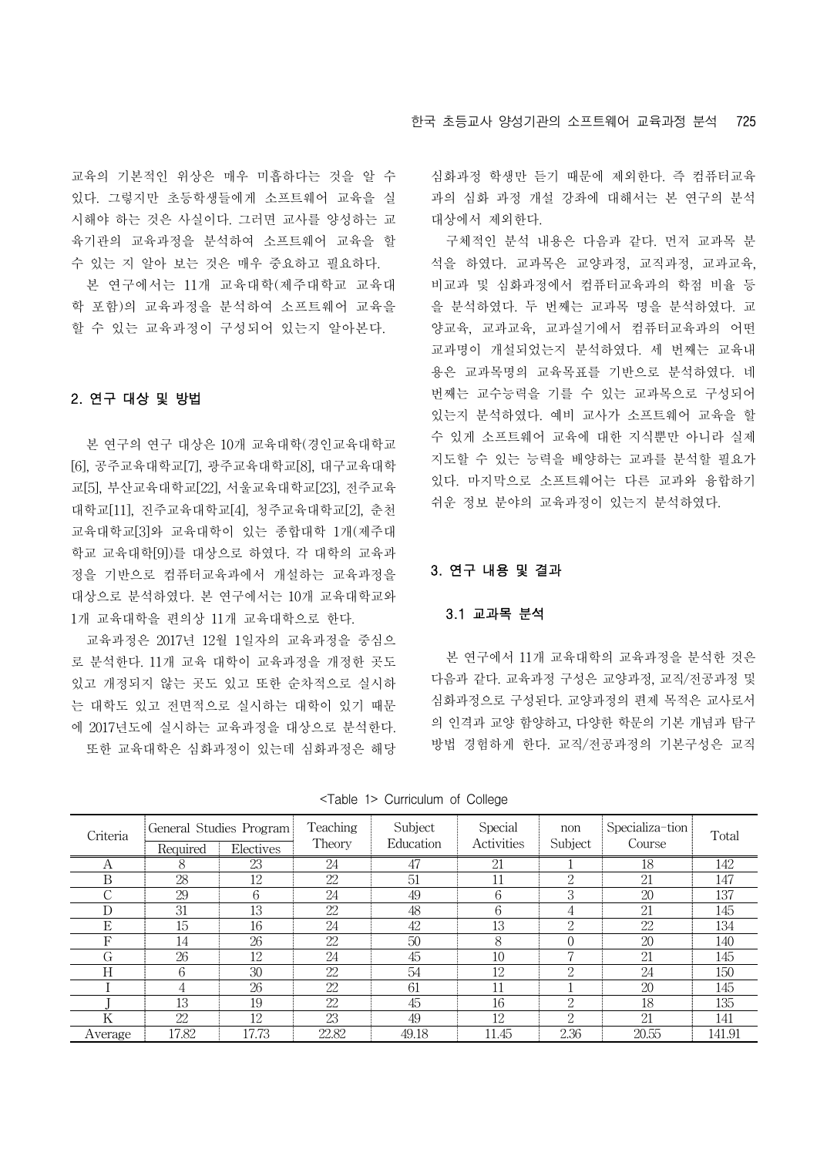교육의 기본적인 위상은 매우 미흡하다는 것을 알 수 있다. 그렇지만 초등학생들에게 소프트웨어 교육을 실 시해야 하는 것은 사실이다. 그러면 교사를 양성하는 교 육기관의 교육과정을 분석하여 소프트웨어 교육을 할 수 있는 지 알아 보는 것은 매우 중요하고 필요하다.

본 연구에서는 11개 교육대학(제주대학교 교육대 학 포함)의 교육과정을 분석하여 소프트웨어 교육을 할 수 있는 교육과정이 구성되어 있는지 알아본다.

## 2. 연구 대상 및 방법

본 연구의 연구 대상은 10개 교육대학(경인교육대학교 [6], 공주교육대학교[7], 광주교육대학교[8], 대구교육대학 교[5], 부산교육대학교[22], 서울교육대학교[23], 전주교육 대학교[11], 진주교육대학교[4], 청주교육대학교[2], 춘천 교육대학교[3]와 교육대학이 있는 종합대학 1개(제주대 학교 교육대학[9])를 대상으로 하였다. 각 대학의 교육과 정을 기반으로 컴퓨터교육과에서 개설하는 교육과정을 대상으로 분석하였다. 본 연구에서는 10개 교육대학교와 1개 교육대학을 편의상 11개 교육대학으로 한다.

교육과정은 2017년 12월 1일자의 교육과정을 중심으 로 분석한다. 11개 교육 대학이 교육과정을 개정한 곳도 있고 개정되지 않는 곳도 있고 또한 순차적으로 실시하 는 대학도 있고 전면적으로 실시하는 대학이 있기 때문 에 2017년도에 실시하는 교육과정을 대상으로 분석한다. 또한 교육대학은 심화과정이 있는데 심화과정은 해당

심화과정 학생만 듣기 때문에 제외한다. 즉 컴퓨터교육 과의 심화 과정 개설 강좌에 대해서는 본 연구의 분석 대상에서 제외한다.

구체적인 분석 내용은 다음과 같다. 먼저 교과목 분 석을 하였다. 교과목은 교양과정, 교직과정, 교과교육, 비교과 및 심화과정에서 컴퓨터교육과의 학점 비율 등 을 분석하였다. 두 번째는 교과목 명을 분석하였다. 교 양교육, 교과교육, 교과실기에서 컴퓨터교육과의 어떤 교과명이 개설되었는지 분석하였다. 세 번째는 교육내 용은 교과목명의 교육목표를 기반으로 분석하였다. 네 번째는 교수능력을 기를 수 있는 교과목으로 구성되어 있는지 분석하였다. 예비 교사가 소프트웨어 교육을 할 수 있게 소프트웨어 교육에 대한 지식뿐만 아니라 실제 지도할 수 있는 능력을 배양하는 교과를 분석할 필요가 있다. 마지막으로 소프트웨어는 다른 교과와 융합하기 쉬운 정보 분야의 교육과정이 있는지 분석하였다.

#### 3. 연구 내용 및 결과

#### 3.1 교과목 분석

본 연구에서 11개 교육대학의 교육과정을 분석한 것은 다음과 같다. 교육과정 구성은 교양과정, 교직/전공과정 및 심화과정으로 구성된다. 교양과정의 편제 목적은 교사로서 의 인격과 교양 함양하고, 다양한 학문의 기본 개념과 탐구 방법 경험하게 한다. 교직/전공과정의 기본구성은 교직

<Table 1> Curriculum of College

| Criteria | Required | General Studies Program<br>Electives | Teaching<br>Theory | Subject<br>Education | Special<br><b>Activities</b> | non<br>Subject | Specializa-tion<br>Course | Total  |
|----------|----------|--------------------------------------|--------------------|----------------------|------------------------------|----------------|---------------------------|--------|
| А        | 8        | 23                                   | 24                 | 47                   | 21                           |                | 18                        | 142    |
| B        | 28       | 12                                   | 22                 | 51                   | 11                           | 2              | 21                        | 147    |
| ⌒        | 29       | 6                                    | 24                 | 49                   | 6                            | 3              | 20                        | 137    |
| D        | 31       | 13                                   | 22                 | 48                   | 6                            | 4              | 21                        | 145    |
| Е        | 15       | 16                                   | 24                 | 42                   | 13                           | $\Omega$       | 22                        | 134    |
| F        | 14       | 26                                   | 22                 | 50                   | 8                            | $\Omega$       | 20                        | 140    |
| G        | 26       | 12                                   | 24                 | 45                   | 10                           |                | 21                        | 145    |
| Н        | 6        | 30                                   | 22                 | 54                   | 12                           | $\Omega$       | 24                        | 150    |
|          | 4        | 26                                   | 22                 | 61                   | 11                           |                | 20                        | 145    |
|          | 13       | 19                                   | 22                 | 45                   | 16                           | $\overline{2}$ | 18                        | 135    |
| Κ        | 22       | 12                                   | 23                 | 49                   | 12                           | $\overline{2}$ | 21                        | 141    |
| Average  | 17.82    | 17.73                                | 22.82              | 49.18                | 11.45                        | 2.36           | 20.55                     | 141.91 |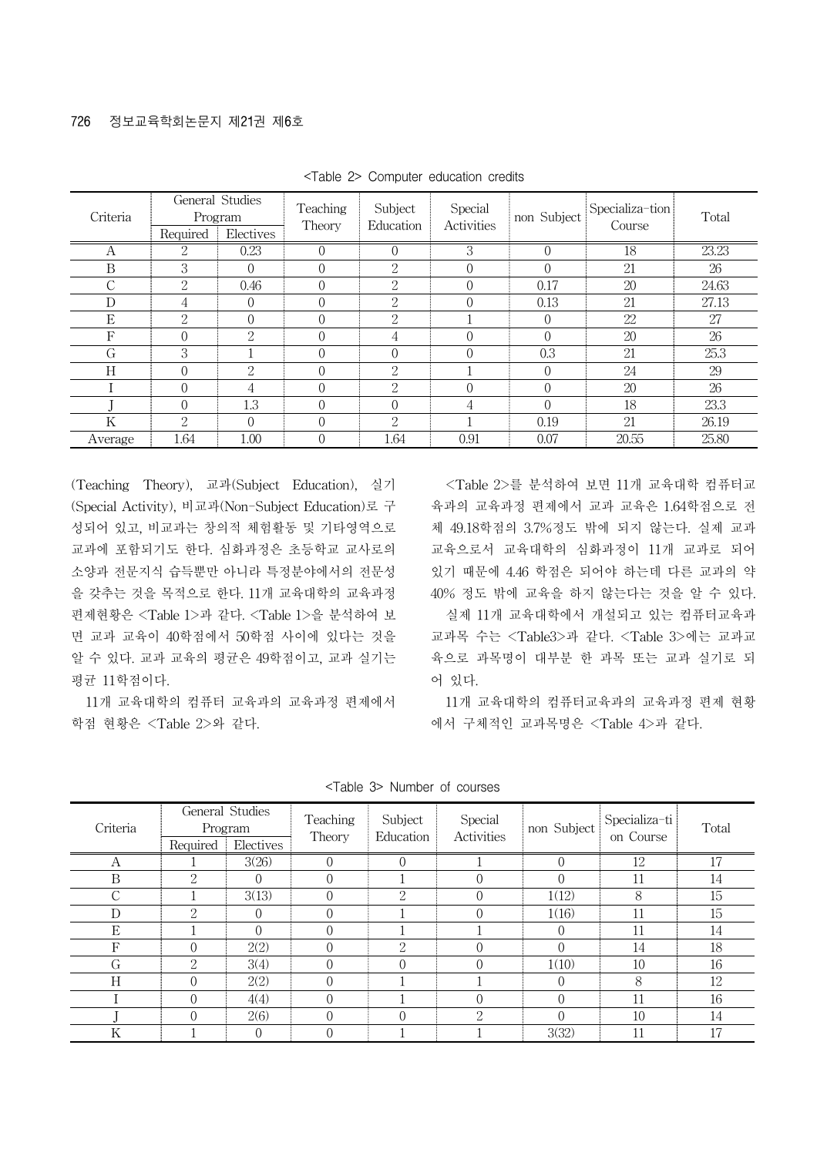| Criteria | Required       | General Studies<br>Program<br>Electives | Teaching<br>Theory | Subject<br>Education | Special<br>Activities | non Subject | Specializa-tion<br>Course | Total |
|----------|----------------|-----------------------------------------|--------------------|----------------------|-----------------------|-------------|---------------------------|-------|
| А        | $\overline{2}$ | 0.23                                    |                    |                      | 3                     |             | 18                        | 23.23 |
| B        | 3              | $\Omega$                                |                    | $\mathfrak{2}$       |                       |             | 21                        | 26    |
| С        | $\overline{2}$ | 0.46                                    |                    | $\Omega$             |                       | 0.17        | 20                        | 24.63 |
| D        | 4              | $\Omega$                                |                    | $\Omega$             |                       | 0.13        | 21                        | 27.13 |
| Ε        | $\overline{2}$ | $\Omega$                                |                    | 2                    |                       |             | 22                        | 27    |
| F        | $\Omega$       | 2                                       |                    | 4                    |                       |             | 20                        | 26    |
| G        | 3              |                                         |                    |                      |                       | 0.3         | 21                        | 25.3  |
| Η        | $\Omega$       | $\mathfrak{L}$                          | 0                  | $\Omega$             |                       |             | 24                        | 29    |
|          | $\Omega$       | 4                                       |                    | $\Omega$<br>7.       |                       |             | 20                        | 26    |
|          | $\Omega$       | 1.3                                     |                    | $\Omega$             | 4                     |             | 18                        | 23.3  |
| Κ        | $\overline{2}$ | $\Omega$                                |                    | $\Omega$             |                       | 0.19        | 21                        | 26.19 |
| Average  | 1.64           | 1.00                                    |                    | 1.64                 | 0.91                  | 0.07        | 20.55                     | 25.80 |

<Table 2> Computer education credits

(Teaching Theory), 교과(Subject Education), 실기 (Special Activity), 비교과(Non-Subject Education)로 구 성되어 있고, 비교과는 창의적 체험활동 및 기타영역으로 교과에 포함되기도 한다. 심화과정은 초등학교 교사로의 소양과 전문지식 습득뿐만 아니라 특정분야에서의 전문성 을 갖추는 것을 목적으로 한다. 11개 교육대학의 교육과정 편제현황은 <Table 1>과 같다. <Table 1>을 분석하여 보 면 교과 교육이 40학점에서 50학점 사이에 있다는 것을 알 수 있다. 교과 교육의 평균은 49학점이고, 교과 실기는 평균 11학점이다.

11개 교육대학의 컴퓨터 교육과의 교육과정 편제에서 학점 현황은 <Table 2>와 같다.

<Table 2>를 분석하여 보면 11개 교육대학 컴퓨터교 육과의 교육과정 편제에서 교과 교육은 1.64학점으로 전 체 49.18학점의 3.7%정도 밖에 되지 않는다. 실제 교과 교육으로서 교육대학의 심화과정이 11개 교과로 되어 있기 때문에 4.46 학점은 되어야 하는데 다른 교과의 약 40% 정도 밖에 교육을 하지 않는다는 것을 알 수 있다.

실제 11개 교육대학에서 개설되고 있는 컴퓨터교육과 교과목 수는 <Table3>과 같다. <Table 3>에는 교과교 육으로 과목명이 대부분 한 과목 또는 교과 실기로 되 어 있다.

11개 교육대학의 컴퓨터교육과의 교육과정 편제 현황 에서 구체적인 교과목명은 <Table 4>과 같다.

| Criteria           | Required       | General Studies<br>Program<br>Electives | Teaching<br>Theory | Subject<br>Education | Special<br>Activities | non Subject | Specializa-ti<br>on Course | Total |
|--------------------|----------------|-----------------------------------------|--------------------|----------------------|-----------------------|-------------|----------------------------|-------|
| А                  |                | 3(26)                                   | $\Omega$           | $\Omega$             |                       |             | 12                         | 17    |
| B                  | 2              | 0                                       | $\Omega$           |                      | $\Omega$              |             | 11                         | 14    |
| $\curvearrowright$ |                | 3(13)                                   | $\Omega$           | 2                    | $\Omega$              | 1(12)       | 8                          | 15    |
| D                  | $\mathfrak{D}$ | $\theta$                                | $\Omega$           |                      | $\Omega$              | 1(16)       | 11                         | 15    |
| Е                  |                | $\Omega$                                | $\Omega$           |                      |                       |             | 11                         | 14    |
| F                  | 0              | 2(2)                                    | $\Omega$           | 2                    | $\Omega$              |             | 14                         | 18    |
| G                  | 2              | 3(4)                                    | $\Omega$           | $\Omega$             | $\Omega$              | 1(10)       | 10                         | 16    |
| H                  | 0              | 2(2)                                    | $\Omega$           |                      |                       |             | 8                          | 12    |
|                    | $\Omega$       | 4(4)                                    | $\Omega$           |                      | $\Omega$              |             | 11                         | 16    |
|                    | $\Omega$       | 2(6)                                    | $\Omega$           | $\Omega$             | $\mathcal{D}$         |             | 10                         | 14    |
| Κ                  |                | $\Omega$                                | $\Omega$           |                      |                       | 3(32)       | 11                         | 17    |

<Table 3> Number of courses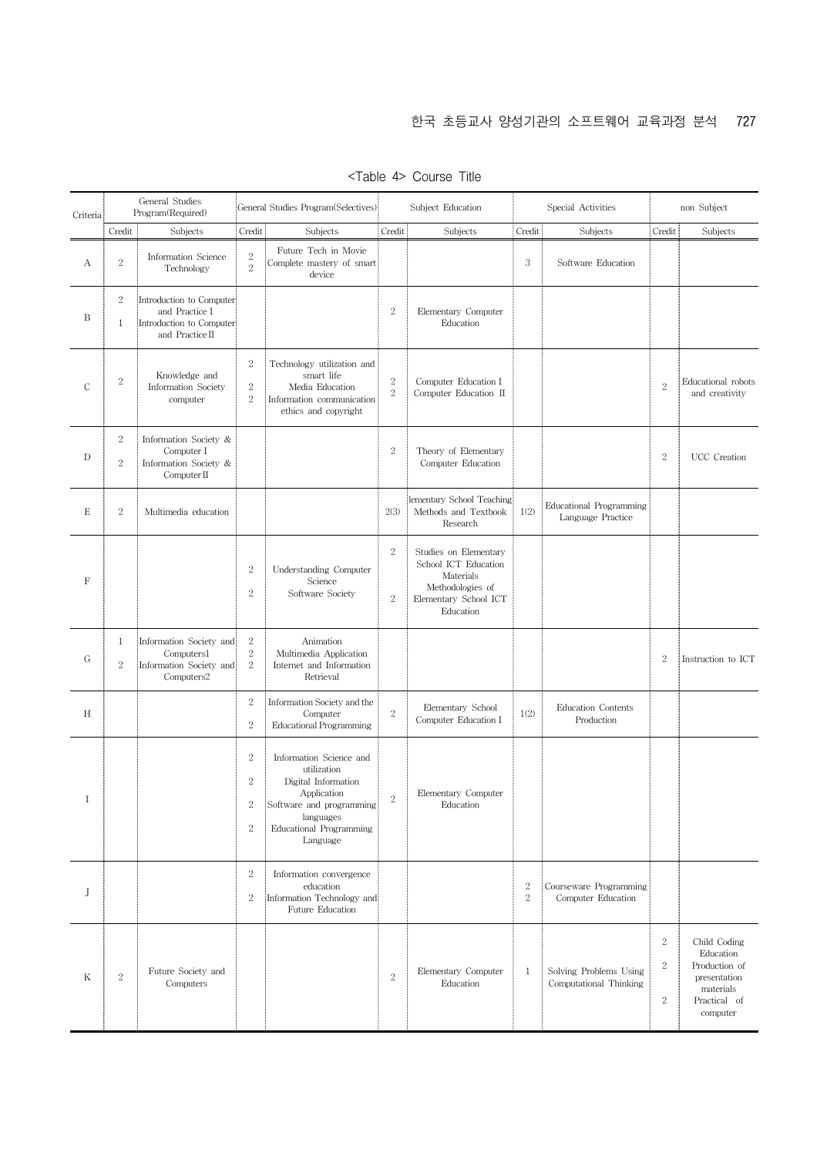| Criteria      |                                | General Studies<br>Program(Required)                                                      |                                                                | General Studies Program(Selectives)                                                                                                                          | Subject Education        |                                                                                                                      |                                | Special Activities                               | non Subject                        |                                                                                                     |
|---------------|--------------------------------|-------------------------------------------------------------------------------------------|----------------------------------------------------------------|--------------------------------------------------------------------------------------------------------------------------------------------------------------|--------------------------|----------------------------------------------------------------------------------------------------------------------|--------------------------------|--------------------------------------------------|------------------------------------|-----------------------------------------------------------------------------------------------------|
|               | Credit                         | Subjects                                                                                  | Credit                                                         | Subjects                                                                                                                                                     | Credit                   | Subjects                                                                                                             | Credit                         | Subjects                                         | Credit                             | Subjects                                                                                            |
| А             | $\overline{2}$                 | Information Science<br>Technology                                                         | $\sqrt{2}$<br>$\sqrt{2}$                                       | Future Tech in Movie<br>Complete mastery of smart<br>device                                                                                                  |                          |                                                                                                                      | 3                              | Software Education                               |                                    |                                                                                                     |
| B             | $\sqrt{2}$<br>1                | Introduction to Computer<br>and Practice I<br>Introduction to Computer<br>and Practice II |                                                                |                                                                                                                                                              | $\sqrt{2}$               | Elementary Computer<br>Education                                                                                     |                                |                                                  |                                    |                                                                                                     |
| $\mathcal{C}$ | $\sqrt{2}$                     | Knowledge and<br>Information Society<br>computer                                          | $\,2$<br>$\sqrt{2}$<br>$\sqrt{2}$                              | Technology utilization and<br>smart life<br>Media Education<br>Information communication<br>ethics and copyright                                             | $\,2$<br>$\,2\,$         | Computer Education I<br>Computer Education II                                                                        |                                |                                                  | $\sqrt{2}$                         | Educational robots<br>and creativity                                                                |
| D             | $\boldsymbol{2}$<br>$\sqrt{2}$ | Information Society &<br>Computer I<br>Information Society &<br>Computer II               |                                                                |                                                                                                                                                              | $\sqrt{2}$               | Theory of Elementary<br>Computer Education                                                                           |                                |                                                  | $\,2$                              | UCC Creation                                                                                        |
| E             | $\,2$                          | Multimedia education                                                                      |                                                                |                                                                                                                                                              | 2(3)                     | lementary School Teaching<br>Methods and Textbook<br>Research                                                        | 1(2)                           | Educational Programming<br>Language Practice     |                                    |                                                                                                     |
| F             |                                |                                                                                           | $\boldsymbol{2}$<br>$\boldsymbol{2}$                           | Understanding Computer<br>Science<br>Software Society                                                                                                        | $\sqrt{2}$<br>$\sqrt{2}$ | Studies on Elementary<br>School ICT Education<br>Materials<br>Methodologies of<br>Elementary School ICT<br>Education |                                |                                                  |                                    |                                                                                                     |
| G             | 1<br>$\overline{2}$            | Information Society and<br>Computers1<br>Information Society and<br>Computers2            | $\,2$<br>$\,2$<br>$\sqrt{2}$                                   | Animation<br>Multimedia Application<br>Internet and Information<br>Retrieval                                                                                 |                          |                                                                                                                      |                                |                                                  | $\boldsymbol{2}$                   | Instruction to ICT                                                                                  |
| H             |                                |                                                                                           | $\boldsymbol{2}$<br>$\overline{2}$                             | Information Society and the<br>Computer<br><b>Educational Programming</b>                                                                                    | $\overline{2}$           | Elementary School<br>Computer Education I                                                                            | 1(2)                           | Education Contents<br>Production                 |                                    |                                                                                                     |
| $\bf I$       |                                |                                                                                           | $\sqrt{2}$<br>$\sqrt{2}$<br>$\boldsymbol{2}$<br>$\overline{2}$ | Information Science and<br>utilization<br>Digital Information<br>Application<br>Software and programming<br>languages<br>Educational Programming<br>Language | $\overline{2}$           | Elementary Computer<br>Education                                                                                     |                                |                                                  |                                    |                                                                                                     |
| J             |                                |                                                                                           | $\sqrt{2}$<br>$\boldsymbol{2}$                                 | Information convergence<br>education<br>Information Technology and<br>Future Education                                                                       |                          |                                                                                                                      | $\boldsymbol{2}$<br>$\sqrt{2}$ | Courseware Programming<br>Computer Education     |                                    |                                                                                                     |
| K             | $\sqrt{2}$                     | Future Society and<br>Computers                                                           |                                                                |                                                                                                                                                              | $\sqrt{2}$               | Elementary Computer<br>Education                                                                                     | 1                              | Solving Problems Using<br>Computational Thinking | $\,2$<br>$\boldsymbol{2}$<br>$\,2$ | Child Coding<br>Education<br>Production of<br>presentation<br>materials<br>Practical of<br>computer |

<Table 4> Course Title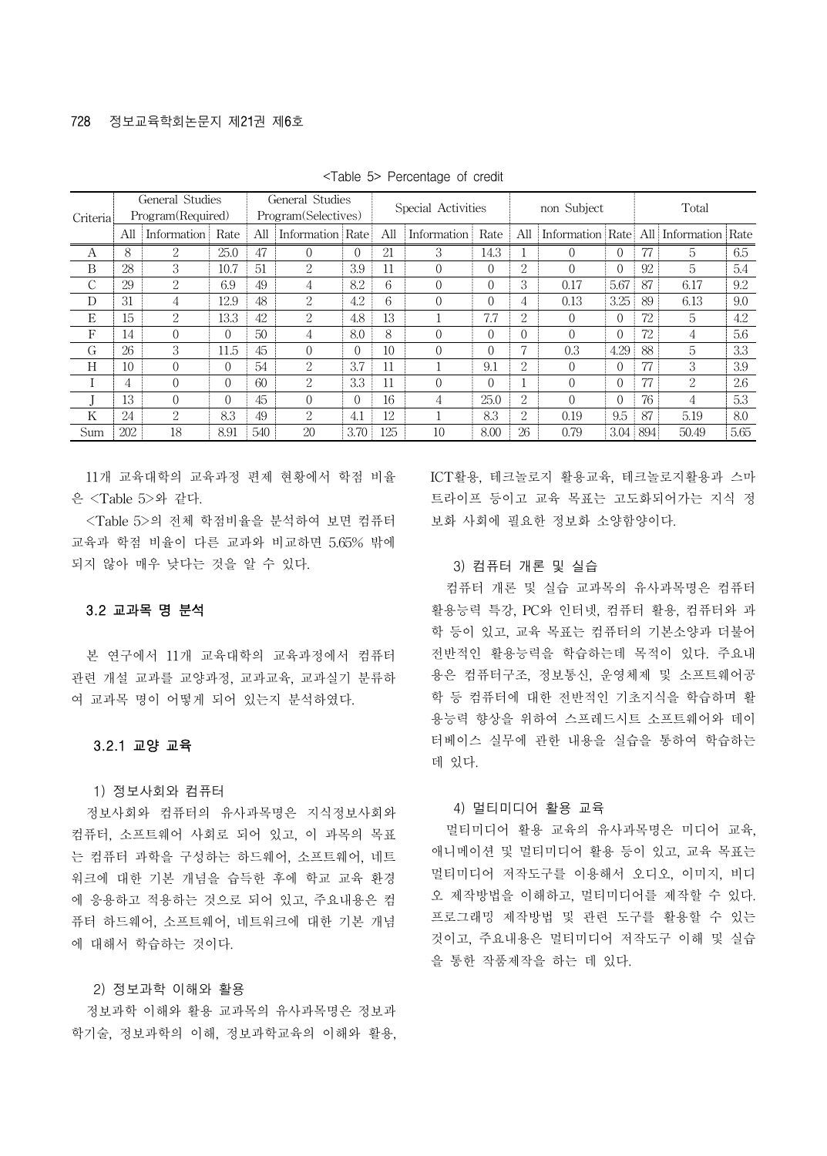|               | General Studies |                   |          | General Studies |                     | Special Activities |     |             | non Subject |                |          | Total    |     |                                       |      |  |
|---------------|-----------------|-------------------|----------|-----------------|---------------------|--------------------|-----|-------------|-------------|----------------|----------|----------|-----|---------------------------------------|------|--|
| Criteria      |                 | Program(Required) |          |                 | Program(Selectives) |                    |     |             |             |                |          |          |     |                                       |      |  |
|               | All             | Information       | Rate     | All             | Information   Rate  |                    | All | Information | Rate        | All            |          |          |     | Information Rate All Information Rate |      |  |
| А             | 8               | $\mathcal{D}$     | 25.0     | 47              |                     | $\Omega$           | 21  | 3           | 14.3        |                | $\Omega$ | $\Omega$ | 77  | 5                                     | 6.5  |  |
| B             | 28              | 3                 | 10.7     | 51              | 2                   | 3.9                | 11  | $\Omega$    | $\Omega$    | $\overline{2}$ |          |          | 92  | 5                                     | 5.4  |  |
| $\mathcal{C}$ | 29              | $\mathfrak{D}$    | 6.9      | 49              | 4                   | 8.2                | 6   | $\Omega$    | $\Omega$    | 3              | 0.17     | 5.67     | 87  | 6.17                                  | 9.2  |  |
| D             | 31              | 4                 | 12.9     | 48              | $\mathcal{L}$       | 4.2                | 6   | $\Omega$    | $\Omega$    | 4              | 0.13     | 3.25     | 89  | 6.13                                  | 9.0  |  |
| E             | 15              | 2                 | 13.3     | 42              | $\mathcal{D}$       | 4.8                | 13  |             | 7.7         | $\mathcal{D}$  | $\Omega$ | $\Omega$ | 72  | 5                                     | 4.2  |  |
| F             | 14              | $\Omega$          | 0        | $50^{\circ}$    | 4                   | 8.0                | 8   | $\Omega$    | $\Omega$    | $\Omega$       | $\Omega$ | $\Omega$ | 72  | 4                                     | 5.6  |  |
| G             | 26              | 3                 | 11.5     | 45              | 0                   | $\theta$           | 10  | $\Omega$    | $\Omega$    | 7              | 0.3      | 4.29     | 88  | 5                                     | 3.3  |  |
| H             | 10              | $\Omega$          | $\Omega$ | 54              | $\mathcal{L}$       | 3.7                | 11  |             | 9.1         | $\mathcal{D}$  | $\Omega$ | $\Omega$ |     | 3                                     | 3.9  |  |
|               | 4               | $\Omega$          | 0        | 60              | $\mathcal{L}$       | 3.3                | 11  | $\Omega$    | $\Omega$    |                | $\Omega$ | $\Omega$ |     | $\mathcal{L}$                         | 2.6  |  |
|               | 13              | $\Omega$          | $\Omega$ | 45              | $\Omega$            | $\theta$           | 16  | 4           | 25.0        | $\mathcal{D}$  | $\Omega$ | $\Omega$ | 76  | 4                                     | 5.3  |  |
| K             | 24              | 2                 | 8.3      | 49              | 2                   | 4.1                | 12  |             | 8.3         | $\overline{2}$ | 0.19     | 9.5      | 87  | 5.19                                  | 8.0  |  |
| Sum           | 202             | 18                | 8.91     | 540             | 20                  | 3.70               | 125 | 10          | 8.00        | 26             | 0.79     | 3.04     | 894 | 50.49                                 | 5.65 |  |

<Table 5> Percentage of credit

11개 교육대학의 교육과정 편제 현황에서 학점 비율 은 <Table 5>와 같다.

<Table 5>의 전체 학점비율을 분석하여 보면 컴퓨터 교육과 학점 비율이 다른 교과와 비교하면 5.65% 밖에 되지 않아 매우 낮다는 것을 알 수 있다.

#### 3.2 교과목 명 분석

본 연구에서 11개 교육대학의 교육과정에서 컴퓨터 관련 개설 교과를 교양과정, 교과교육, 교과실기 분류하 여 교과목 명이 어떻게 되어 있는지 분석하였다.

#### 3.2.1 교양 교육

1) 정보사회와 컴퓨터

정보사회와 컴퓨터의 유사과목명은 지식정보사회와 컴퓨터, 소프트웨어 사회로 되어 있고, 이 과목의 목표 는 컴퓨터 과학을 구성하는 하드웨어, 소프트웨어, 네트 워크에 대한 기본 개념을 습득한 후에 학교 교육 환경 에 응용하고 적용하는 것으로 되어 있고, 주요내용은 컴 퓨터 하드웨어, 소프트웨어, 네트워크에 대한 기본 개념 에 대해서 학습하는 것이다.

#### 2) 정보과학 이해와 활용

정보과학 이해와 활용 교과목의 유사과목명은 정보과 학기술, 정보과학의 이해, 정보과학교육의 이해와 활용, ICT활용, 테크놀로지 활용교육, 테크놀로지활용과 스마 트라이프 등이고 교육 목표는 고도화되어가는 지식 정 보화 사회에 필요한 정보화 소양함양이다.

#### 3) 컴퓨터 개론 및 실습

컴퓨터 개론 및 실습 교과목의 유사과목명은 컴퓨터 활용능력 특강, PC와 인터넷, 컴퓨터 활용, 컴퓨터와 과 학 등이 있고, 교육 목표는 컴퓨터의 기본소양과 더불어 전반적인 활용능력을 학습하는데 목적이 있다. 주요내 용은 컴퓨터구조, 정보통신, 운영체제 및 소프트웨어공 학 등 컴퓨터에 대한 전반적인 기초지식을 학습하며 활 용능력 향상을 위하여 스프레드시트 소프트웨어와 데이 터베이스 실무에 관한 내용을 실습을 통하여 학습하는 데 있다.

#### 4) 멀티미디어 활용 교육

멀티미디어 활용 교육의 유사과목명은 미디어 교육, 애니메이션 및 멀티미디어 활용 등이 있고, 교육 목표는 멀티미디어 저작도구를 이용해서 오디오, 이미지, 비디 오 제작방법을 이해하고, 멀티미디어를 제작할 수 있다. 프로그래밍 제작방법 및 관련 도구를 활용할 수 있는 것이고, 주요내용은 멀티미디어 저작도구 이해 및 실습 을 통한 작품제작을 하는 데 있다.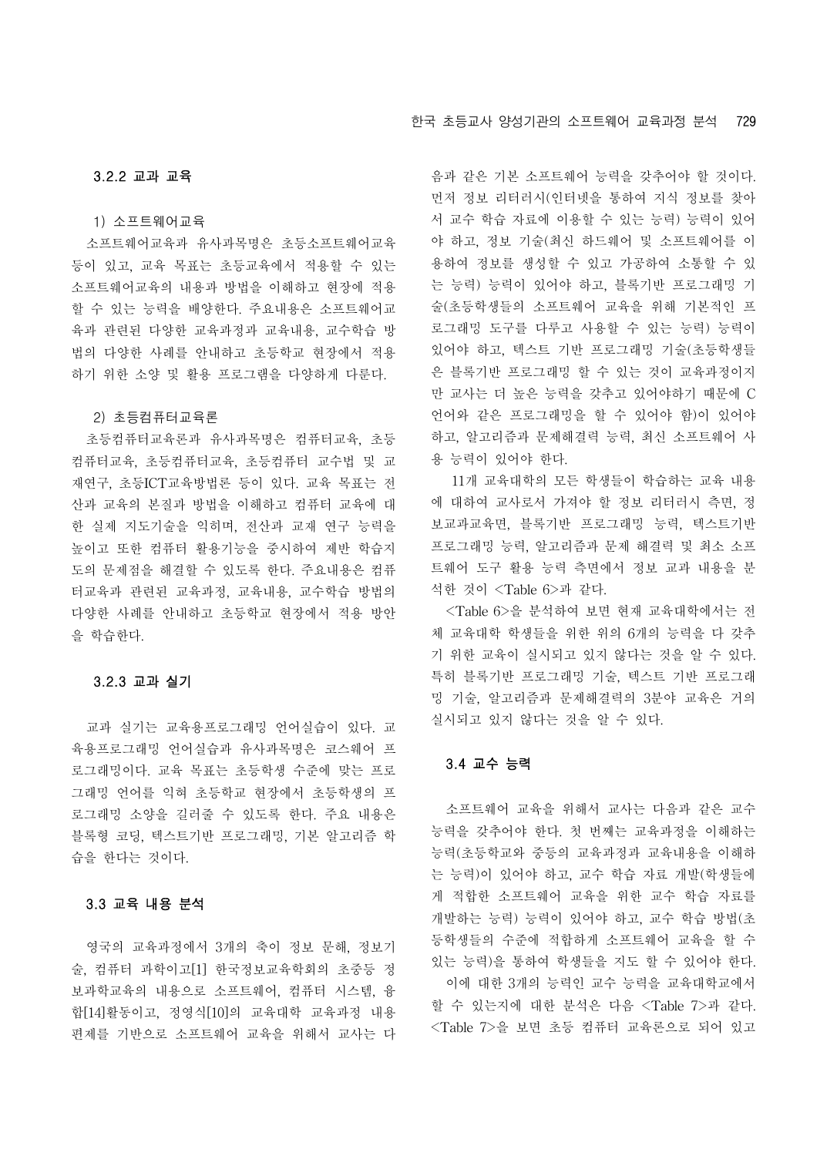#### 3.2.2 교과 교육

1) 소프트웨어교육

소프트웨어교육과 유사과목명은 초등소프트웨어교육 등이 있고, 교육 목표는 초등교육에서 적용할 수 있는 소프트웨어교육의 내용과 방법을 이해하고 현장에 적용 할 수 있는 능력을 배양한다. 주요내용은 소프트웨어교 육과 관련된 다양한 교육과정과 교육내용, 교수학습 방 법의 다양한 사례를 안내하고 초등학교 현장에서 적용 하기 위한 소양 및 활용 프로그램을 다양하게 다룬다.

#### 2) 초등컴퓨터교육론

초등컴퓨터교육론과 유사과목명은 컴퓨터교육, 초등 컴퓨터교육, 초등컴퓨터교육, 초등컴퓨터 교수법 및 교 재연구, 초등ICT교육방법론 등이 있다. 교육 목표는 전 산과 교육의 본질과 방법을 이해하고 컴퓨터 교육에 대 한 실제 지도기술을 익히며, 전산과 교재 연구 능력을 높이고 또한 컴퓨터 활용기능을 중시하여 제반 학습지 도의 문제점을 해결할 수 있도록 한다. 주요내용은 컴퓨 터교육과 관련된 교육과정, 교육내용, 교수학습 방법의 다양한 사례를 안내하고 초등학교 현장에서 적용 방안 을 학습한다.

#### 3.2.3 교과 실기

교과 실기는 교육용프로그래밍 언어실습이 있다. 교 육용프로그래밍 언어실습과 유사과목명은 코스웨어 프 로그래밍이다. 교육 목표는 초등학생 수준에 맞는 프로 그래밍 언어를 익혀 초등학교 현장에서 초등학생의 프 로그래밍 소양을 길러줄 수 있도록 한다. 주요 내용은 블록형 코딩, 텍스트기반 프로그래밍, 기본 알고리즘 학 습을 한다는 것이다.

#### 3.3 교육 내용 분석

영국의 교육과정에서 3개의 축이 정보 문해, 정보기 술, 컴퓨터 과학이고[1] 한국정보교육학회의 초중등 정 보과학교육의 내용으로 소프트웨어, 컴퓨터 시스템, 융 합[14]활동이고, 정영식[10]의 교육대학 교육과정 내용 편제를 기반으로 소프트웨어 교육을 위해서 교사는 다 음과 같은 기본 소프트웨어 능력을 갖추어야 할 것이다. 먼저 정보 리터러시(인터넷을 통하여 지식 정보를 찾아 서 교수 학습 자료에 이용할 수 있는 능력) 능력이 있어 야 하고, 정보 기술(최신 하드웨어 및 소프트웨어를 이 용하여 정보를 생성할 수 있고 가공하여 소통할 수 있 는 능력) 능력이 있어야 하고, 블록기반 프로그래밍 기 술(초등학생들의 소프트웨어 교육을 위해 기본적인 프 로그래밍 도구를 다루고 사용할 수 있는 능력) 능력이 있어야 하고, 텍스트 기반 프로그래밍 기술(초등학생들 은 블록기반 프로그래밍 할 수 있는 것이 교육과정이지 만 교사는 더 높은 능력을 갖추고 있어야하기 때문에 C 언어와 같은 프로그래밍을 할 수 있어야 함)이 있어야 하고, 알고리즘과 문제해결력 능력, 최신 소프트웨어 사 용 능력이 있어야 한다.

11개 교육대학의 모든 학생들이 학습하는 교육 내용 에 대하여 교사로서 가져야 할 정보 리터러시 측면, 정 보교과교육면, 블록기반 프로그래밍 능력, 텍스트기반 프로그래밍 능력, 알고리즘과 문제 해결력 및 최소 소프 트웨어 도구 활용 능력 측면에서 정보 교과 내용을 분 석한 것이 <Table 6>과 같다.

<Table 6>을 분석하여 보면 현재 교육대학에서는 전 체 교육대학 학생들을 위한 위의 6개의 능력을 다 갖추 기 위한 교육이 실시되고 있지 않다는 것을 알 수 있다. 특히 블록기반 프로그래밍 기술, 텍스트 기반 프로그래 밍 기술, 알고리즘과 문제해결력의 3분야 교육은 거의 실시되고 있지 않다는 것을 알 수 있다.

#### 3.4 교수 능력

소프트웨어 교육을 위해서 교사는 다음과 같은 교수 능력을 갖추어야 한다. 첫 번째는 교육과정을 이해하는 능력(초등학교와 중등의 교육과정과 교육내용을 이해하 는 능력)이 있어야 하고, 교수 학습 자료 개발(학생들에 게 적합한 소프트웨어 교육을 위한 교수 학습 자료를 개발하는 능력) 능력이 있어야 하고, 교수 학습 방법(초 등학생들의 수준에 적합하게 소프트웨어 교육을 할 수 있는 능력)을 통하여 학생들을 지도 할 수 있어야 한다. 이에 대한 3개의 능력인 교수 능력을 교육대학교에서 할 수 있는지에 대한 분석은 다음 <Table 7>과 같다. <Table 7>을 보면 초등 컴퓨터 교육론으로 되어 있고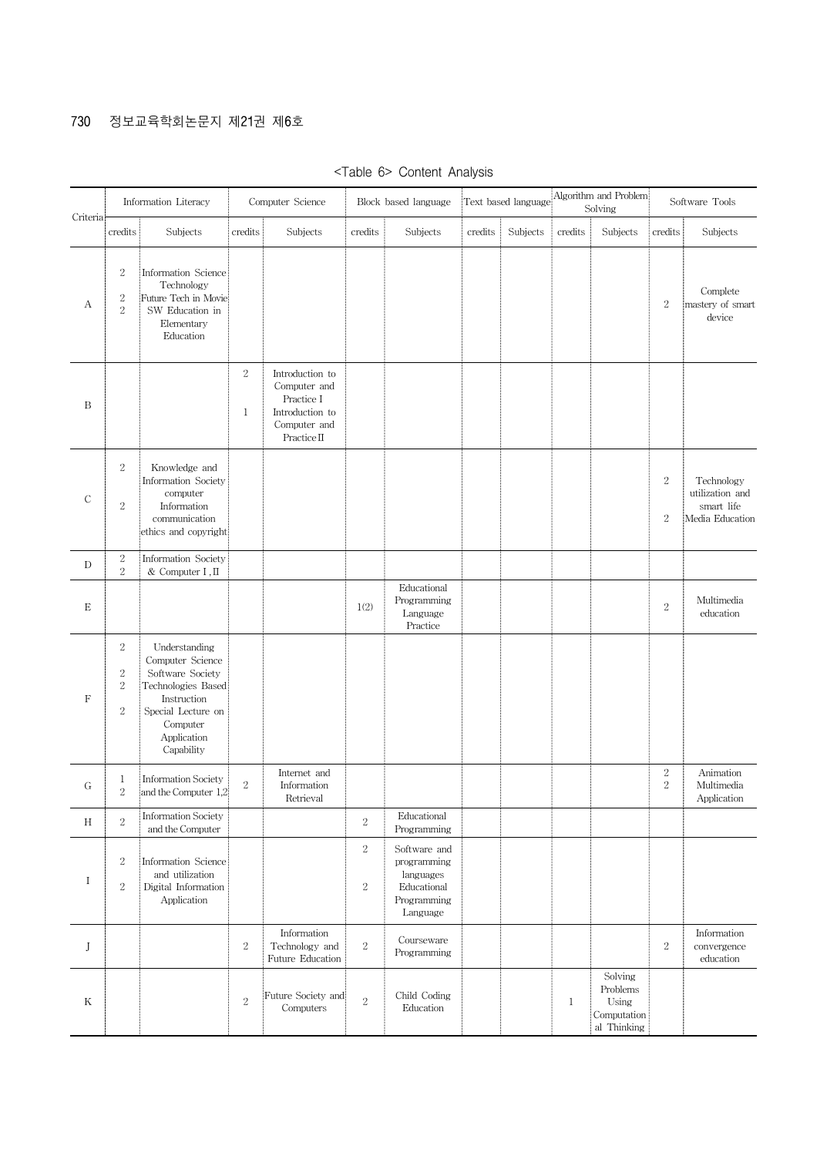## 730 정보교육학회논문지 제21권 제6호

| Criteria      |                                            | Information Literacy                                                                                                                                      |                 | Computer Science                                                                                |                         | Block based language                                                               |         | Text based language |             | Algorithm and Problem<br>Solving                           |                                | Software Tools                                                 |
|---------------|--------------------------------------------|-----------------------------------------------------------------------------------------------------------------------------------------------------------|-----------------|-------------------------------------------------------------------------------------------------|-------------------------|------------------------------------------------------------------------------------|---------|---------------------|-------------|------------------------------------------------------------|--------------------------------|----------------------------------------------------------------|
|               | credits                                    | Subjects                                                                                                                                                  | credits         | Subjects                                                                                        | credits                 | Subjects                                                                           | credits | Subjects            | credits     | Subjects                                                   | credits                        | Subjects                                                       |
| А             | $\sqrt{2}$<br>$\sqrt{2}$<br>$\overline{2}$ | Information Science<br>Technology<br>Future Tech in Movie<br>SW Education in<br>Elementary<br>Education                                                   |                 |                                                                                                 |                         |                                                                                    |         |                     |             |                                                            | $\,2$                          | Complete<br>mastery of smart<br>device                         |
| B             |                                            |                                                                                                                                                           | $\sqrt{2}$<br>1 | Introduction to<br>Computer and<br>Practice I<br>Introduction to<br>Computer and<br>Practice II |                         |                                                                                    |         |                     |             |                                                            |                                |                                                                |
| $\mathcal{C}$ | $\overline{2}$<br>$\,2$                    | Knowledge and<br>Information Society<br>computer<br>Information<br>communication<br>ethics and copyright                                                  |                 |                                                                                                 |                         |                                                                                    |         |                     |             |                                                            | $\sqrt{2}$<br>$\boldsymbol{2}$ | Technology<br>utilization and<br>smart life<br>Media Education |
| D             | $\,2$<br>$\overline{2}$                    | Information Society<br>& Computer I, II                                                                                                                   |                 |                                                                                                 |                         |                                                                                    |         |                     |             |                                                            |                                |                                                                |
| E             |                                            |                                                                                                                                                           |                 |                                                                                                 | 1(2)                    | Educational<br>Programming<br>Language<br>Practice                                 |         |                     |             |                                                            | $\sqrt{2}$                     | Multimedia<br>education                                        |
| $\mathbf F$   | $\sqrt{2}$<br>$\,2$<br>$\,2$<br>$\sqrt{2}$ | Understanding<br>Computer Science<br>Software Society<br>Technologies Based<br>Instruction<br>Special Lecture on<br>Computer<br>Application<br>Capability |                 |                                                                                                 |                         |                                                                                    |         |                     |             |                                                            |                                |                                                                |
| G             | 1<br>$\,2$                                 | <b>Information Society</b><br>and the Computer 1,2                                                                                                        | $\overline{2}$  | Internet and<br>Information<br>Retrieval                                                        |                         |                                                                                    |         |                     |             |                                                            | $\,2$<br>$\sqrt{2}$            | Animation<br>Multimedia<br>Application                         |
| Н             | $\overline{2}$                             | <b>Information Society</b><br>and the Computer                                                                                                            |                 |                                                                                                 | $\,2$                   | Educational<br>Programming                                                         |         |                     |             |                                                            |                                |                                                                |
| I             | $\overline{2}$<br>$\overline{2}$           | Information Science<br>and utilization<br>Digital Information<br>Application                                                                              |                 |                                                                                                 | $\overline{2}$<br>$\,2$ | Software and<br>programming<br>languages<br>Educational<br>Programming<br>Language |         |                     |             |                                                            |                                |                                                                |
| J             |                                            |                                                                                                                                                           | $\overline{2}$  | Information<br>Technology and<br>Future Education                                               | $\,2$                   | Courseware<br>Programming                                                          |         |                     |             |                                                            | $\sqrt{2}$                     | Information<br>convergence<br>education                        |
| Κ             |                                            |                                                                                                                                                           | $\overline{2}$  | Future Society and<br>Computers                                                                 | $\overline{2}$          | Child Coding<br>Education                                                          |         |                     | $\mathbf 1$ | Solving<br>Problems<br>Using<br>Computation<br>al Thinking |                                |                                                                |

<Table 6> Content Analysis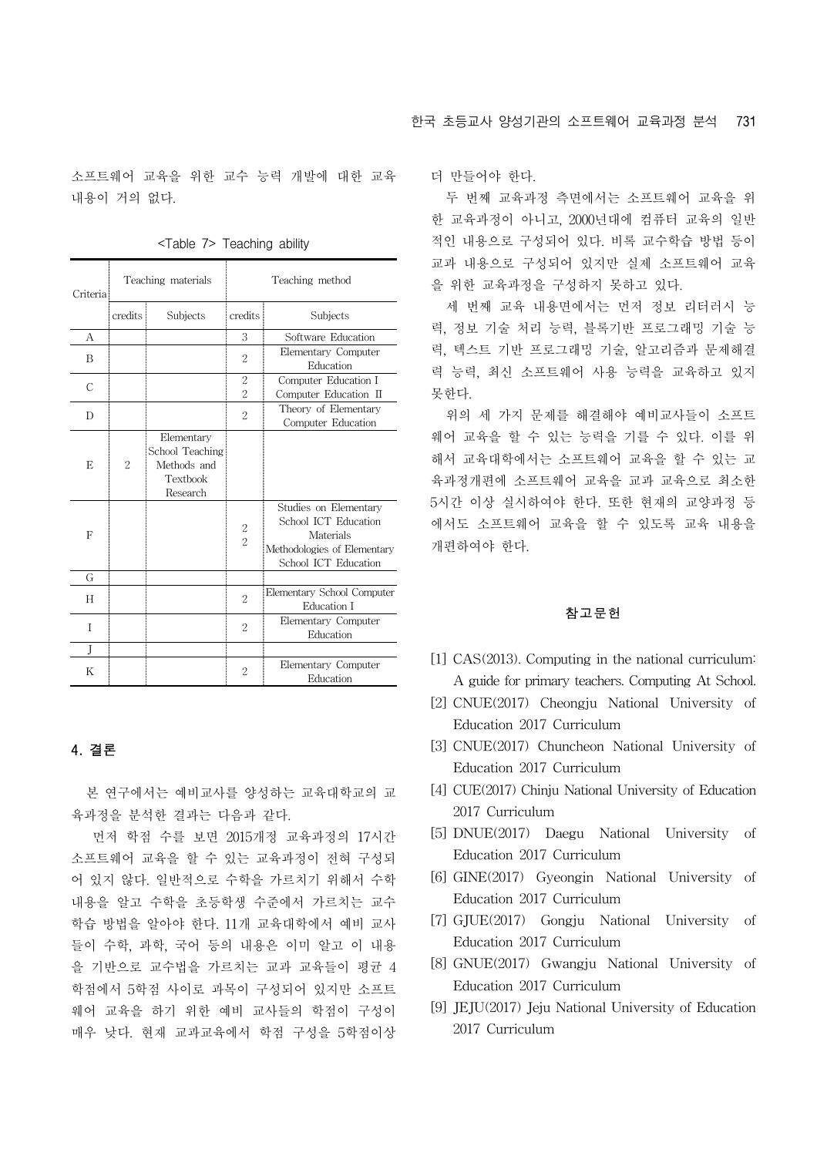소프트웨어 교육을 위한 교수 능력 개발에 대한 교육 내용이 거의 없다.

| Criteria |                | Teaching materials                                                   | Teaching method     |                                                                                                                   |  |  |  |
|----------|----------------|----------------------------------------------------------------------|---------------------|-------------------------------------------------------------------------------------------------------------------|--|--|--|
|          | credits        | Subjects                                                             | credits             | Subjects                                                                                                          |  |  |  |
| A        |                |                                                                      | 3                   | Software Education                                                                                                |  |  |  |
| B        |                |                                                                      | 2                   | Elementary Computer<br>Education                                                                                  |  |  |  |
| С        |                |                                                                      | $\overline{2}$<br>2 | Computer Education I<br>Computer Education II                                                                     |  |  |  |
| D        |                |                                                                      | $\overline{2}$      | Theory of Elementary<br>Computer Education                                                                        |  |  |  |
| E        | $\overline{2}$ | Elementary<br>School Teaching<br>Methods and<br>Textbook<br>Research |                     |                                                                                                                   |  |  |  |
| F        |                |                                                                      | $\frac{2}{2}$       | Studies on Elementary<br>School ICT Education<br>Materials<br>Methodologies of Elementary<br>School ICT Education |  |  |  |
| G        |                |                                                                      |                     |                                                                                                                   |  |  |  |
| H        |                |                                                                      | $\overline{2}$      | Elementary School Computer<br>Education I                                                                         |  |  |  |
| T        |                |                                                                      | $\overline{2}$      | Elementary Computer<br>Education                                                                                  |  |  |  |
| J        |                |                                                                      |                     |                                                                                                                   |  |  |  |
| K        |                |                                                                      | 2                   | Elementary Computer<br>Education                                                                                  |  |  |  |

<Table 7> Teaching ability

## 4. 결론

본 연구에서는 예비교사를 양성하는 교육대학교의 교 육과정을 분석한 결과는 다음과 같다.

먼저 학점 수를 보면 2015개정 교육과정의 17시간 소프트웨어 교육을 할 수 있는 교육과정이 전혀 구성되 어 있지 않다. 일반적으로 수학을 가르치기 위해서 수학 내용을 알고 수학을 초등학생 수준에서 가르치는 교수 학습 방법을 알아야 한다. 11개 교육대학에서 예비 교사 들이 수학, 과학, 국어 등의 내용은 이미 알고 이 내용 을 기반으로 교수법을 가르치는 교과 교육들이 평균 4 학점에서 5학점 사이로 과목이 구성되어 있지만 소프트 웨어 교육을 하기 위한 예비 교사들의 학점이 구성이 매우 낮다. 현재 교과교육에서 학점 구성을 5학점이상

더 만들어야 한다.

두 번째 교육과정 측면에서는 소프트웨어 교육을 위 한 교육과정이 아니고, 2000년대에 컴퓨터 교육의 일반 적인 내용으로 구성되어 있다. 비록 교수학습 방법 등이 교과 내용으로 구성되어 있지만 실제 소프트웨어 교육 을 위한 교육과정을 구성하지 못하고 있다.

세 번째 교육 내용면에서는 먼저 정보 리터러시 능 력, 정보 기술 처리 능력, 블록기반 프로그래밍 기술 능 력, 텍스트 기반 프로그래밍 기술, 알고리즘과 문제해결 력 능력, 최신 소프트웨어 사용 능력을 교육하고 있지 못한다.

위의 세 가지 문제를 해결해야 예비교사들이 소프트 웨어 교육을 할 수 있는 능력을 기를 수 있다. 이를 위 해서 교육대학에서는 소프트웨어 교육을 할 수 있는 교 육과정개편에 소프트웨어 교육을 교과 교육으로 최소한 5시간 이상 실시하여야 한다. 또한 현재의 교양과정 등 에서도 소프트웨어 교육을 할 수 있도록 교육 내용을 개편하여야 한다.

#### 참고문헌

- [1] CAS(2013). Computing in the national curriculum: A guide for primary teachers. Computing At School.
- [2] CNUE(2017) Cheongju National University of Education 2017 Curriculum
- [3] CNUE(2017) Chuncheon National University of Education 2017 Curriculum
- [4] CUE(2017) Chinju National University of Education 2017 Curriculum
- [5] DNUE(2017) Daegu National University of Education 2017 Curriculum
- [6] GINE(2017) Gyeongin National University of Education 2017 Curriculum
- [7] GJUE(2017) Gongju National University of Education 2017 Curriculum
- [8] GNUE(2017) Gwangju National University of Education 2017 Curriculum
- [9] JEJU(2017) Jeju National University of Education 2017 Curriculum